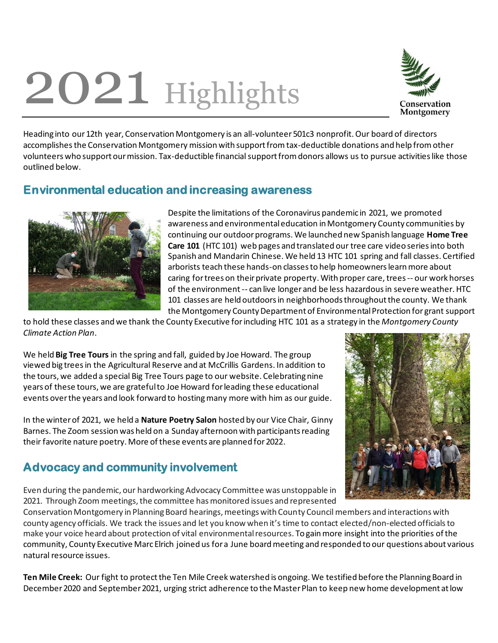## 2021 Highlights



Heading into our 12th year, Conservation Montgomery is an all-volunteer 501c3 nonprofit.Our board of directors accomplishes the Conservation Montgomery mission with support from tax-deductible donations and help from other volunteerswho support our mission. Tax-deductible financial support fromdonors allows us to pursue activities like those outlined below.

## **Environmental education and increasing awareness**



Despite the limitations of the Coronavirus pandemic in 2021, we promoted awareness and environmental education in Montgomery County communities by continuing our outdoor programs. We launched new Spanish language **Home Tree Care 101** (HTC 101) web pages and translated our tree care video series into both Spanish and Mandarin Chinese. We held 13 HTC 101 spring and fall classes. Certified arborists teach these hands-on classes to help homeowners learn more about caring for trees on their private property. With proper care, trees -- our work horses of the environment -- can live longer and be less hazardous in severe weather. HTC 101 classes are held outdoors in neighborhoods throughout the county. We thank the Montgomery County Department of Environmental Protection for grant support

to hold these classes and we thank the County Executive for including HTC 101 as a strategy in the *Montgomery County Climate Action Plan*.

We held **Big Tree Tours** in the spring and fall, guided by Joe Howard. The group viewed big treesin the Agricultural Reserve and at McCrillis Gardens. In addition to the tours, we added a special Big Tree Tours page to our website. Celebrating nine years of these tours, we are grateful to Joe Howard for leading these educational events over the years and look forward to hosting many more with him as our guide.

In the winter of 2021, we held a **Nature Poetry Salon** hosted by our Vice Chair, Ginny Barnes. The Zoom session was held on a Sunday afternoon with participants reading their favorite nature poetry. More of these events are planned for 2022.

## **Advocacy and community involvement**

Even during the pandemic, our hardworking Advocacy Committee was unstoppable in 2021. Through Zoom meetings, the committee has monitored issues and represented



Conservation Montgomery in Planning Board hearings, meetings with County Council members and interactions with county agency officials. We track the issues and let you know when it's time to contact elected/non-elected officials to make your voice heard about protection of vital environmental resources. To gain more insight into the priorities of the community, County Executive Marc Elrich joined us for a June board meeting and responded to our questions about various natural resource issues.

**Ten Mile Creek:** Our fight to protectthe Ten Mile Creek watershed is ongoing. We testified before the Planning Board in December 2020 and September 2021, urging strict adherence to the Master Plan to keep new home development at low